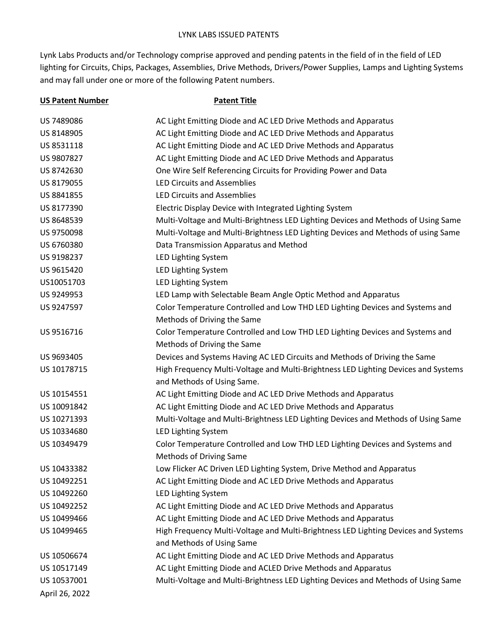Lynk Labs Products and/or Technology comprise approved and pending patents in the field of in the field of LED lighting for Circuits, Chips, Packages, Assemblies, Drive Methods, Drivers/Power Supplies, Lamps and Lighting Systems and may fall under one or more of the following Patent numbers.

| <b>US Patent Number</b> | <b>Patent Title</b>                                                                |
|-------------------------|------------------------------------------------------------------------------------|
| US 7489086              | AC Light Emitting Diode and AC LED Drive Methods and Apparatus                     |
| US 8148905              | AC Light Emitting Diode and AC LED Drive Methods and Apparatus                     |
| US 8531118              | AC Light Emitting Diode and AC LED Drive Methods and Apparatus                     |
| US 9807827              | AC Light Emitting Diode and AC LED Drive Methods and Apparatus                     |
| US 8742630              | One Wire Self Referencing Circuits for Providing Power and Data                    |
| US 8179055              | <b>LED Circuits and Assemblies</b>                                                 |
| US 8841855              | <b>LED Circuits and Assemblies</b>                                                 |
| US 8177390              | Electric Display Device with Integrated Lighting System                            |
| US 8648539              | Multi-Voltage and Multi-Brightness LED Lighting Devices and Methods of Using Same  |
| US 9750098              | Multi-Voltage and Multi-Brightness LED Lighting Devices and Methods of using Same  |
| US 6760380              | Data Transmission Apparatus and Method                                             |
| US 9198237              | LED Lighting System                                                                |
| US 9615420              | <b>LED Lighting System</b>                                                         |
| US10051703              | LED Lighting System                                                                |
| US 9249953              | LED Lamp with Selectable Beam Angle Optic Method and Apparatus                     |
| US 9247597              | Color Temperature Controlled and Low THD LED Lighting Devices and Systems and      |
|                         | Methods of Driving the Same                                                        |
| US 9516716              | Color Temperature Controlled and Low THD LED Lighting Devices and Systems and      |
|                         | Methods of Driving the Same                                                        |
| US 9693405              | Devices and Systems Having AC LED Circuits and Methods of Driving the Same         |
| US 10178715             | High Frequency Multi-Voltage and Multi-Brightness LED Lighting Devices and Systems |
|                         | and Methods of Using Same.                                                         |
| US 10154551             | AC Light Emitting Diode and AC LED Drive Methods and Apparatus                     |
| US 10091842             | AC Light Emitting Diode and AC LED Drive Methods and Apparatus                     |
| US 10271393             | Multi-Voltage and Multi-Brightness LED Lighting Devices and Methods of Using Same  |
| US 10334680             | <b>LED Lighting System</b>                                                         |
| US 10349479             | Color Temperature Controlled and Low THD LED Lighting Devices and Systems and      |
|                         | Methods of Driving Same                                                            |
| US 10433382             | Low Flicker AC Driven LED Lighting System, Drive Method and Apparatus              |
| US 10492251             | AC Light Emitting Diode and AC LED Drive Methods and Apparatus                     |
| US 10492260             | LED Lighting System                                                                |
| US 10492252             | AC Light Emitting Diode and AC LED Drive Methods and Apparatus                     |
| US 10499466             | AC Light Emitting Diode and AC LED Drive Methods and Apparatus                     |
| US 10499465             | High Frequency Multi-Voltage and Multi-Brightness LED Lighting Devices and Systems |
|                         | and Methods of Using Same                                                          |
| US 10506674             | AC Light Emitting Diode and AC LED Drive Methods and Apparatus                     |
| US 10517149             | AC Light Emitting Diode and ACLED Drive Methods and Apparatus                      |
| US 10537001             | Multi-Voltage and Multi-Brightness LED Lighting Devices and Methods of Using Same  |
| April 26, 2022          |                                                                                    |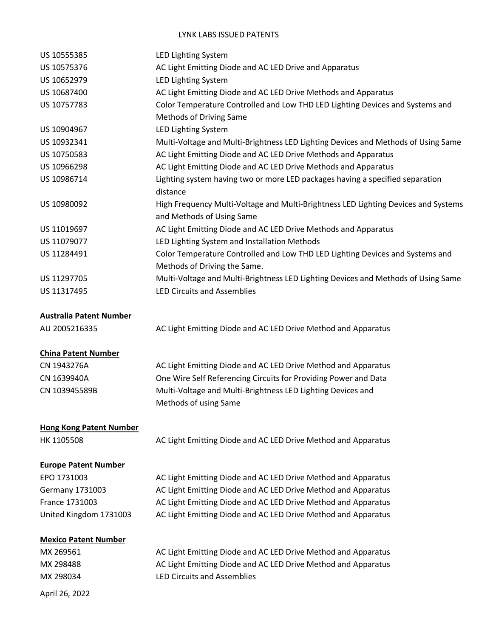## LYNK LABS ISSUED PATENTS

| US 10555385                    | LED Lighting System                                                                                             |
|--------------------------------|-----------------------------------------------------------------------------------------------------------------|
| US 10575376                    | AC Light Emitting Diode and AC LED Drive and Apparatus                                                          |
| US 10652979                    | LED Lighting System                                                                                             |
| US 10687400                    | AC Light Emitting Diode and AC LED Drive Methods and Apparatus                                                  |
| US 10757783                    | Color Temperature Controlled and Low THD LED Lighting Devices and Systems and                                   |
|                                | Methods of Driving Same                                                                                         |
| US 10904967                    | LED Lighting System                                                                                             |
| US 10932341                    | Multi-Voltage and Multi-Brightness LED Lighting Devices and Methods of Using Same                               |
| US 10750583                    | AC Light Emitting Diode and AC LED Drive Methods and Apparatus                                                  |
| US 10966298                    | AC Light Emitting Diode and AC LED Drive Methods and Apparatus                                                  |
| US 10986714                    | Lighting system having two or more LED packages having a specified separation<br>distance                       |
| US 10980092                    | High Frequency Multi-Voltage and Multi-Brightness LED Lighting Devices and Systems<br>and Methods of Using Same |
| US 11019697                    | AC Light Emitting Diode and AC LED Drive Methods and Apparatus                                                  |
| US 11079077                    | LED Lighting System and Installation Methods                                                                    |
| US 11284491                    | Color Temperature Controlled and Low THD LED Lighting Devices and Systems and                                   |
|                                | Methods of Driving the Same.                                                                                    |
| US 11297705                    | Multi-Voltage and Multi-Brightness LED Lighting Devices and Methods of Using Same                               |
| US 11317495                    | <b>LED Circuits and Assemblies</b>                                                                              |
| <b>Australia Patent Number</b> |                                                                                                                 |
| AU 2005216335                  | AC Light Emitting Diode and AC LED Drive Method and Apparatus                                                   |
| <b>China Patent Number</b>     |                                                                                                                 |
| CN 1943276A                    | AC Light Emitting Diode and AC LED Drive Method and Apparatus                                                   |
| CN 1639940A                    | One Wire Self Referencing Circuits for Providing Power and Data                                                 |
| CN 103945589B                  | Multi-Voltage and Multi-Brightness LED Lighting Devices and                                                     |
|                                | Methods of using Same                                                                                           |
| <b>Hong Kong Patent Number</b> |                                                                                                                 |
| HK 1105508                     | AC Light Emitting Diode and AC LED Drive Method and Apparatus                                                   |
| <b>Europe Patent Number</b>    |                                                                                                                 |
| EPO 1731003                    | AC Light Emitting Diode and AC LED Drive Method and Apparatus                                                   |
| <b>Germany 1731003</b>         | AC Light Emitting Diode and AC LED Drive Method and Apparatus                                                   |
| France 1731003                 | AC Light Emitting Diode and AC LED Drive Method and Apparatus                                                   |
| United Kingdom 1731003         | AC Light Emitting Diode and AC LED Drive Method and Apparatus                                                   |
| <b>Mexico Patent Number</b>    |                                                                                                                 |
| MX 269561                      | AC Light Emitting Diode and AC LED Drive Method and Apparatus                                                   |
| MX 298488                      | AC Light Emitting Diode and AC LED Drive Method and Apparatus                                                   |
| MX 298034                      | <b>LED Circuits and Assemblies</b>                                                                              |
| April 26, 2022                 |                                                                                                                 |